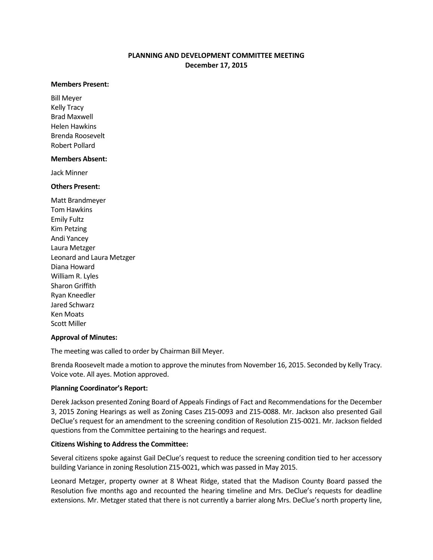# **PLANNING AND DEVELOPMENT COMMITTEE MEETING December 17, 2015**

#### **Members Present:**

Bill Meyer Kelly Tracy Brad Maxwell Helen Hawkins Brenda Roosevelt Robert Pollard

#### **Members Absent:**

Jack Minner

## **Others Present:**

Matt Brandmeyer Tom Hawkins Emily Fultz Kim Petzing Andi Yancey Laura Metzger Leonard and Laura Metzger Diana Howard William R. Lyles Sharon Griffith Ryan Kneedler Jared Schwarz Ken Moats Scott Miller

## **Approval of Minutes:**

The meeting was called to order by Chairman Bill Meyer.

Brenda Roosevelt made a motion to approve the minutes from November 16, 2015. Seconded by Kelly Tracy. Voice vote. All ayes. Motion approved.

## **Planning Coordinator's Report:**

Derek Jackson presented Zoning Board of Appeals Findings of Fact and Recommendations for the December 3, 2015 Zoning Hearings as well as Zoning Cases Z15-0093 and Z15-0088. Mr. Jackson also presented Gail DeClue's request for an amendment to the screening condition of Resolution Z15-0021. Mr. Jackson fielded questions from the Committee pertaining to the hearings and request.

## **Citizens Wishing to Address the Committee:**

Several citizens spoke against Gail DeClue's request to reduce the screening condition tied to her accessory building Variance in zoning Resolution Z15-0021, which was passed in May 2015.

Leonard Metzger, property owner at 8 Wheat Ridge, stated that the Madison County Board passed the Resolution five months ago and recounted the hearing timeline and Mrs. DeClue's requests for deadline extensions. Mr. Metzger stated that there is not currently a barrier along Mrs. DeClue's north property line,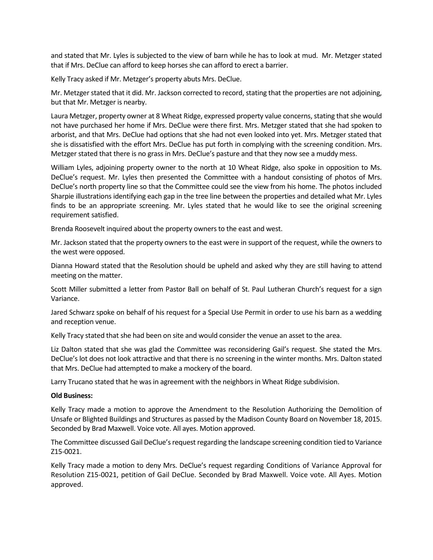and stated that Mr. Lyles is subjected to the view of barn while he has to look at mud. Mr. Metzger stated that if Mrs. DeClue can afford to keep horses she can afford to erect a barrier.

Kelly Tracy asked if Mr. Metzger's property abuts Mrs. DeClue.

Mr. Metzger stated that it did. Mr. Jackson corrected to record, stating that the properties are not adjoining, but that Mr. Metzger is nearby.

Laura Metzger, property owner at 8 Wheat Ridge, expressed property value concerns, stating that she would not have purchased her home if Mrs. DeClue were there first. Mrs. Metzger stated that she had spoken to arborist, and that Mrs. DeClue had options that she had not even looked into yet. Mrs. Metzger stated that she is dissatisfied with the effort Mrs. DeClue has put forth in complying with the screening condition. Mrs. Metzger stated that there is no grass in Mrs. DeClue's pasture and that they now see a muddy mess.

William Lyles, adjoining property owner to the north at 10 Wheat Ridge, also spoke in opposition to Ms. DeClue's request. Mr. Lyles then presented the Committee with a handout consisting of photos of Mrs. DeClue's north property line so that the Committee could see the view from his home. The photos included Sharpie illustrations identifying each gap in the tree line between the properties and detailed what Mr. Lyles finds to be an appropriate screening. Mr. Lyles stated that he would like to see the original screening requirement satisfied.

Brenda Roosevelt inquired about the property owners to the east and west.

Mr. Jackson stated that the property owners to the east were in support of the request, while the owners to the west were opposed.

Dianna Howard stated that the Resolution should be upheld and asked why they are still having to attend meeting on the matter.

Scott Miller submitted a letter from Pastor Ball on behalf of St. Paul Lutheran Church's request for a sign Variance.

Jared Schwarz spoke on behalf of his request for a Special Use Permit in order to use his barn as a wedding and reception venue.

Kelly Tracy stated that she had been on site and would consider the venue an asset to the area.

Liz Dalton stated that she was glad the Committee was reconsidering Gail's request. She stated the Mrs. DeClue's lot does not look attractive and that there is no screening in the winter months. Mrs. Dalton stated that Mrs. DeClue had attempted to make a mockery of the board.

Larry Trucano stated that he was in agreement with the neighbors in Wheat Ridge subdivision.

## **Old Business:**

Kelly Tracy made a motion to approve the Amendment to the Resolution Authorizing the Demolition of Unsafe or Blighted Buildings and Structures as passed by the Madison County Board on November 18, 2015. Seconded by Brad Maxwell. Voice vote. All ayes. Motion approved.

The Committee discussed Gail DeClue's request regarding the landscape screening condition tied to Variance Z15-0021.

Kelly Tracy made a motion to deny Mrs. DeClue's request regarding Conditions of Variance Approval for Resolution Z15-0021, petition of Gail DeClue. Seconded by Brad Maxwell. Voice vote. All Ayes. Motion approved.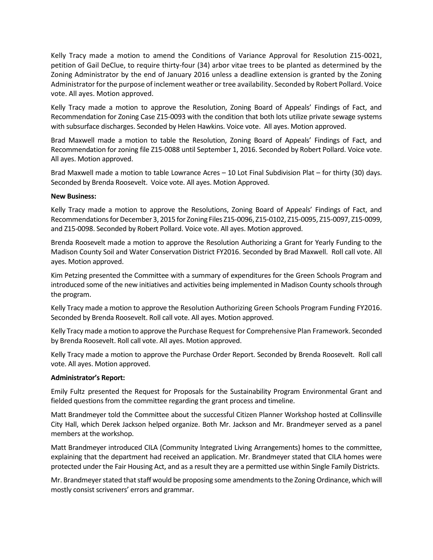Kelly Tracy made a motion to amend the Conditions of Variance Approval for Resolution Z15-0021, petition of Gail DeClue, to require thirty-four (34) arbor vitae trees to be planted as determined by the Zoning Administrator by the end of January 2016 unless a deadline extension is granted by the Zoning Administrator for the purpose of inclement weather or tree availability. Seconded by Robert Pollard. Voice vote. All ayes. Motion approved.

Kelly Tracy made a motion to approve the Resolution, Zoning Board of Appeals' Findings of Fact, and Recommendation for Zoning Case Z15-0093 with the condition that both lots utilize private sewage systems with subsurface discharges. Seconded by Helen Hawkins. Voice vote. All ayes. Motion approved.

Brad Maxwell made a motion to table the Resolution, Zoning Board of Appeals' Findings of Fact, and Recommendation for zoning file Z15-0088 until September 1, 2016. Seconded by Robert Pollard. Voice vote. All ayes. Motion approved.

Brad Maxwell made a motion to table Lowrance Acres – 10 Lot Final Subdivision Plat – for thirty (30) days. Seconded by Brenda Roosevelt. Voice vote. All ayes. Motion Approved.

## **New Business:**

Kelly Tracy made a motion to approve the Resolutions, Zoning Board of Appeals' Findings of Fact, and Recommendations for December 3, 2015 for Zoning Files Z15-0096, Z15-0102, Z15-0095, Z15-0097, Z15-0099, and Z15-0098. Seconded by Robert Pollard. Voice vote. All ayes. Motion approved.

Brenda Roosevelt made a motion to approve the Resolution Authorizing a Grant for Yearly Funding to the Madison County Soil and Water Conservation District FY2016. Seconded by Brad Maxwell. Roll call vote. All ayes. Motion approved.

Kim Petzing presented the Committee with a summary of expenditures for the Green Schools Program and introduced some of the new initiatives and activities being implemented in Madison County schools through the program.

Kelly Tracy made a motion to approve the Resolution Authorizing Green Schools Program Funding FY2016. Seconded by Brenda Roosevelt. Roll call vote. All ayes. Motion approved.

Kelly Tracy made a motion to approve the Purchase Request for Comprehensive Plan Framework. Seconded by Brenda Roosevelt. Roll call vote. All ayes. Motion approved.

Kelly Tracy made a motion to approve the Purchase Order Report. Seconded by Brenda Roosevelt. Roll call vote. All ayes. Motion approved.

# **Administrator's Report:**

Emily Fultz presented the Request for Proposals for the Sustainability Program Environmental Grant and fielded questions from the committee regarding the grant process and timeline.

Matt Brandmeyer told the Committee about the successful Citizen Planner Workshop hosted at Collinsville City Hall, which Derek Jackson helped organize. Both Mr. Jackson and Mr. Brandmeyer served as a panel members at the workshop.

Matt Brandmeyer introduced CILA (Community Integrated Living Arrangements) homes to the committee, explaining that the department had received an application. Mr. Brandmeyer stated that CILA homes were protected under the Fair Housing Act, and as a result they are a permitted use within Single Family Districts.

Mr. Brandmeyer stated that staff would be proposing some amendments to the Zoning Ordinance, which will mostly consist scriveners' errors and grammar.